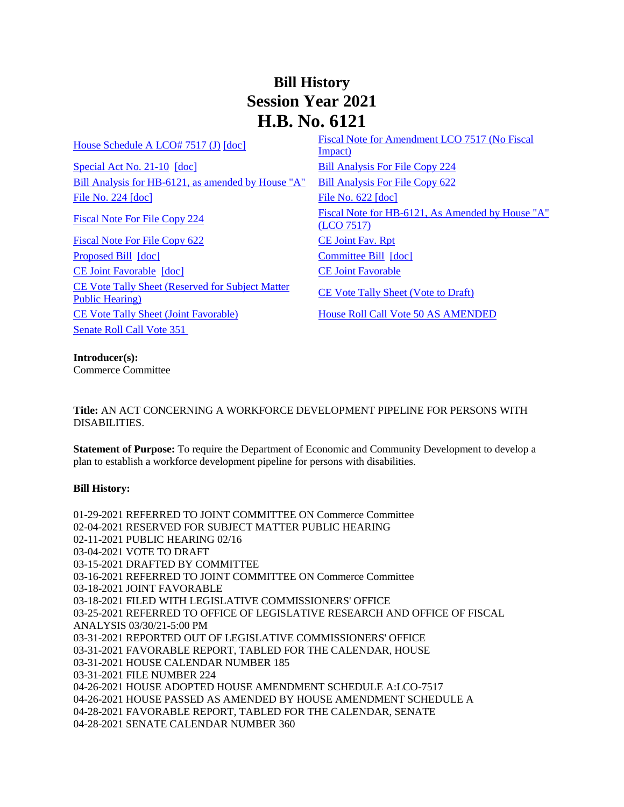## **Bill History Session Year 2021 H.B. No. 6121**

[Special Act No. 21-10](/2021/ACT/SA/PDF/2021SA-00010-R00HB-06121-SA.PDF) [\[doc\]](https://search.cga.state.ct.us/dl2021/SA/DOC/2021SA-00010-R00HB-06121-SA.DOCX) [Bill Analysis For File Copy 224](/2021/BA/PDF/2021HB-06121-R000224-BA.PDF) [Bill Analysis for HB-6121, as amended by House "A"](/2021/BA/PDF/2021HB-06121-R01-BA.PDF) [Bill Analysis For File Copy 622](/2021/BA/PDF/2021HB-06121-R010622-BA.PDF) [File No. 224](/2021/FC/PDF/2021HB-06121-R000224-FC.PDF) [\[doc\]](/2021/FC/PDF/2021HB-06121-R000622-FC.PDF) [File No. 622](/2021/FC/PDF/2021HB-06121-R000622-FC.PDF) [doc]

[Fiscal Note For File Copy 622](/2021/FN/PDF/2021HB-06121-R010622-FN.PDF) [CE Joint Fav. Rpt](/2021/JFR/H/PDF/2021HB-06121-R00CE-JFR.PDF) [Proposed Bill](/2021/TOB/H/PDF/2021HB-06121-R00-HB.PDF) [\[doc\]](https://search.cga.state.ct.us/dl2021/TOB/DOC/2021HB-06121-R01-HB.DOCX) [Committee Bill](/2021/TOB/H/PDF/2021HB-06121-R01-HB.PDF) [doc] [CE Joint Favorable](/2021/TOB/H/PDF/2021HB-06121-R02-HB.PDF) [\[doc\]](https://search.cga.state.ct.us/dl2021/TOB/DOC/2021HB-06121-R02-HB.DOCX) [CE Joint Favorable](/2021/TOB/H/PDF/2021HB-06121-R03-HB.PDF) [CE Vote Tally Sheet \(Reserved for Subject Matter](/2021/TS/H/PDF/2021HB-06121-R00CE-CV35-TS.PDF)  <u>CE Vote Tally Sheet (Reserved for Subject Matter</u><br>[Public Hearing\)](/2021/TS/H/PDF/2021HB-06121-R00CE-CV35-TS.PDF) [CE Vote Tally Sheet \(Vote to Draft\)](/2021/TS/H/PDF/2021HB-06121-R00CE-CV61-TS.PDF) [CE Vote Tally Sheet \(Joint Favorable\)](/2021/TS/H/PDF/2021HB-06121-R00CE-CV78-TS.PDF) [House Roll Call Vote 50 AS AMENDED](/2021/VOTE/H/PDF/2021HV-00050-R00HB06121-HV.PDF)  [Senate Roll Call Vote 351](/2021/VOTE/S/PDF/2021SV-00351-R00HB06121-SV.PDF) 

[House Schedule A LCO# 7517 \(J\)](/2021/amd/H/pdf/2021HB-06121-R00HA-AMD.pdf)  $\left[ \frac{\text{Fiscal Note for Amendment LCO } 7517 \text{ (No Fiscal})}{\frac{1}{2}} \right]$ [Impact\)](/2021/fna/pdf/2021HB-06121-R00LCO07517-FNA.pdf)  [Fiscal Note For File](/2021/FN/PDF/2021HB-06121-R000224-FN.PDF) Copy 224 Fiscal Note for HB-6121, As Amended by House "A" [\(LCO 7517\)](/2021/FN/PDF/2021HB-06121-R01-FN.PDF)

## **Introducer(s):**

Commerce Committee

**Title:** AN ACT CONCERNING A WORKFORCE DEVELOPMENT PIPELINE FOR PERSONS WITH DISABILITIES.

**Statement of Purpose:** To require the Department of Economic and Community Development to develop a plan to establish a workforce development pipeline for persons with disabilities.

## **Bill History:**

01-29-2021 REFERRED TO JOINT COMMITTEE ON Commerce Committee 02-04-2021 RESERVED FOR SUBJECT MATTER PUBLIC HEARING 02-11-2021 PUBLIC HEARING 02/16 03-04-2021 VOTE TO DRAFT 03-15-2021 DRAFTED BY COMMITTEE 03-16-2021 REFERRED TO JOINT COMMITTEE ON Commerce Committee 03-18-2021 JOINT FAVORABLE 03-18-2021 FILED WITH LEGISLATIVE COMMISSIONERS' OFFICE 03-25-2021 REFERRED TO OFFICE OF LEGISLATIVE RESEARCH AND OFFICE OF FISCAL ANALYSIS 03/30/21-5:00 PM 03-31-2021 REPORTED OUT OF LEGISLATIVE COMMISSIONERS' OFFICE 03-31-2021 FAVORABLE REPORT, TABLED FOR THE CALENDAR, HOUSE 03-31-2021 HOUSE CALENDAR NUMBER 185 03-31-2021 FILE NUMBER 224 04-26-2021 HOUSE ADOPTED HOUSE AMENDMENT SCHEDULE A:LCO-7517 04-26-2021 HOUSE PASSED AS AMENDED BY HOUSE AMENDMENT SCHEDULE A 04-28-2021 FAVORABLE REPORT, TABLED FOR THE CALENDAR, SENATE 04-28-2021 SENATE CALENDAR NUMBER 360